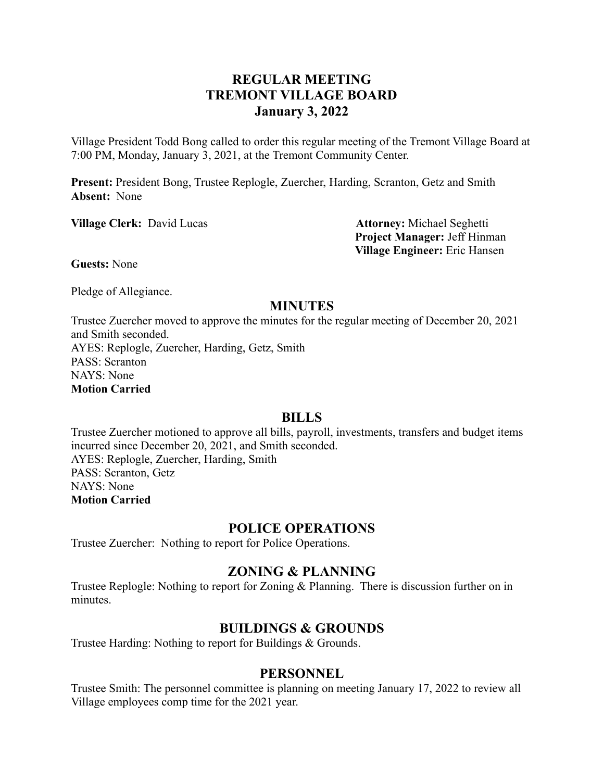# **REGULAR MEETING TREMONT VILLAGE BOARD January 3, 2022**

Village President Todd Bong called to order this regular meeting of the Tremont Village Board at 7:00 PM, Monday, January 3, 2021, at the Tremont Community Center.

**Present:** President Bong, Trustee Replogle, Zuercher, Harding, Scranton, Getz and Smith **Absent:** None

**Village Clerk:** David Lucas **Attorney:** Michael Seghetti

**Project Manager:** Jeff Hinman **Village Engineer:** Eric Hansen

**Guests:** None

Pledge of Allegiance.

## **MINUTES**

Trustee Zuercher moved to approve the minutes for the regular meeting of December 20, 2021 and Smith seconded. AYES: Replogle, Zuercher, Harding, Getz, Smith PASS: Scranton NAYS: None **Motion Carried**

#### **BILLS**

Trustee Zuercher motioned to approve all bills, payroll, investments, transfers and budget items incurred since December 20, 2021, and Smith seconded. AYES: Replogle, Zuercher, Harding, Smith PASS: Scranton, Getz NAYS: None **Motion Carried**

#### **POLICE OPERATIONS**

Trustee Zuercher: Nothing to report for Police Operations.

## **ZONING & PLANNING**

Trustee Replogle: Nothing to report for Zoning & Planning. There is discussion further on in minutes.

## **BUILDINGS & GROUNDS**

Trustee Harding: Nothing to report for Buildings & Grounds.

#### **PERSONNEL**

Trustee Smith: The personnel committee is planning on meeting January 17, 2022 to review all Village employees comp time for the 2021 year.